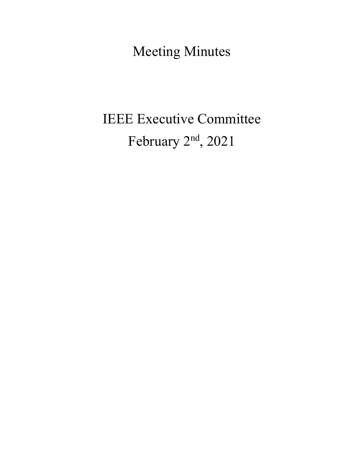Meeting Minutes

# IEEE Executive Committee February 2nd, 2021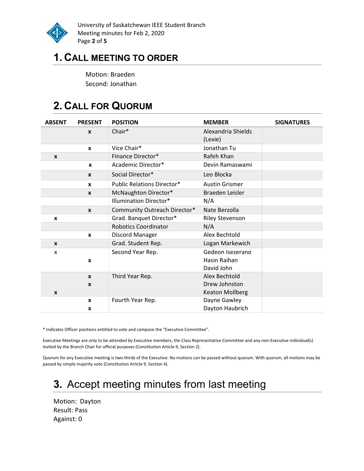

University of Saskatchewan IEEE Student Branch Meeting minutes for Feb 2, 2020 Page 2 of 5

### 1. CALL MEETING TO ORDER

Motion: Braeden Second: Jonathan

# 2. CALL FOR QUORUM

| <b>ABSENT</b>    | <b>PRESENT</b>    | <b>POSITION</b>                   | <b>MEMBER</b>                                            | <b>SIGNATURES</b> |
|------------------|-------------------|-----------------------------------|----------------------------------------------------------|-------------------|
|                  | $\mathbf{x}$      | Chair*                            | Alexandria Shields<br>(Lexie)                            |                   |
|                  | X                 | Vice Chair*                       | Jonathan Tu                                              |                   |
| $\boldsymbol{x}$ |                   | Finance Director*                 | Rafeh Khan                                               |                   |
|                  | $\mathbf{x}$      | Academic Director*                | Devin Ramaswami                                          |                   |
|                  | $\boldsymbol{x}$  | Social Director*                  | Leo Blocka                                               |                   |
|                  | X                 | <b>Public Relations Director*</b> | <b>Austin Grismer</b>                                    |                   |
|                  | $\mathbf{x}$      | McNaughton Director*              | Braeden Leisler                                          |                   |
|                  |                   | <b>Illumination Director*</b>     | N/A                                                      |                   |
|                  | X                 | Community Outreach Director*      | Nate Berzolla                                            |                   |
| X                |                   | Grad. Banquet Director*           | <b>Riley Stevenson</b>                                   |                   |
|                  |                   | <b>Robotics Coordinator</b>       | N/A                                                      |                   |
|                  | X                 | Discord Manager                   | Alex Bechtold                                            |                   |
| X                |                   | Grad. Student Rep.                | Logan Markewich                                          |                   |
| X                | $\boldsymbol{x}$  | Second Year Rep.                  | Gedeon Isezerano<br>Hasin Raihan<br>David John           |                   |
| $\boldsymbol{x}$ | $\mathbf{x}$<br>X | Third Year Rep.                   | Alex Bechtold<br>Drew Johnston<br><b>Keaton Mollberg</b> |                   |
|                  | X<br>X            | Fourth Year Rep.                  | Dayne Gawley<br>Dayton Haubrich                          |                   |

\* Indicates Officer positions entitled to vote and compose the "Executive Committee".

Executive Meetings are only to be attended by Executive members, the Class Representative Committee and any non-Executive individual(s) invited by the Branch Chair for official purposes (Constitution Article 9, Section 2).

Quorum for any Executive meeting is two-thirds of the Executive. No motions can be passed without quorum. With quorum, all motions may be passed by simple majority vote (Constitution Article 9, Section 4).

# 3. Accept meeting minutes from last meeting

Motion: Dayton Result: Pass Against: 0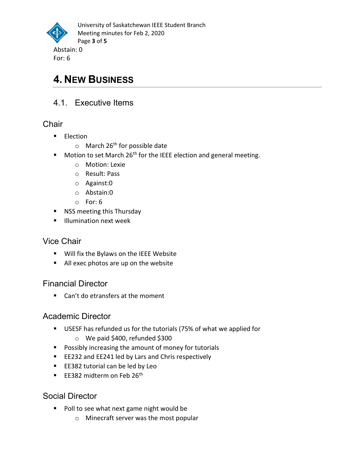

# 4. NEW BUSINESS

#### 4.1. Executive Items

#### **Chair**

- **Election** 
	- $\circ$  March 26<sup>th</sup> for possible date
- $\blacksquare$  Motion to set March 26<sup>th</sup> for the IEEE election and general meeting.
	- o Motion: Lexie
	- o Result: Pass
	- o Against:0
	- o Abstain:0
	- o For: 6
- **NSS meeting this Thursday**
- **Illumination next week**

#### Vice Chair

- **Will fix the Bylaws on the IEEE Website**
- All exec photos are up on the website

#### Financial Director

■ Can't do etransfers at the moment

#### Academic Director

- USESF has refunded us for the tutorials (75% of what we applied for
	- o We paid \$400, refunded \$300
- **Possibly increasing the amount of money for tutorials**
- **EE232 and EE241 led by Lars and Chris respectively**
- EE382 tutorial can be led by Leo
- EE382 midterm on Feb 26<sup>th</sup>

#### Social Director

- Poll to see what next game night would be
	- o Minecraft server was the most popular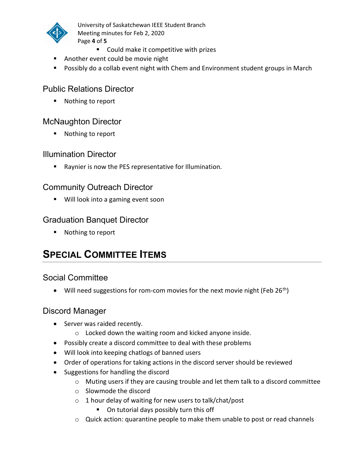

University of Saskatchewan IEEE Student Branch Meeting minutes for Feb 2, 2020 Page 4 of 5

- Could make it competitive with prizes
- **Another event could be movie night**
- **Possibly do a collab event night with Chem and Environment student groups in March**

#### Public Relations Director

■ Nothing to report

#### McNaughton Director

■ Nothing to report

#### Illumination Director

Raynier is now the PES representative for Illumination.

#### Community Outreach Director

Will look into a gaming event soon

#### Graduation Banquet Director

■ Nothing to report

### SPECIAL COMMITTEE ITEMS

#### Social Committee

• Will need suggestions for rom-com movies for the next movie night (Feb  $26^{th}$ )

#### Discord Manager

- Server was raided recently.
	- o Locked down the waiting room and kicked anyone inside.
- Possibly create a discord committee to deal with these problems
- Will look into keeping chatlogs of banned users
- Order of operations for taking actions in the discord server should be reviewed
- Suggestions for handling the discord
	- $\circ$  Muting users if they are causing trouble and let them talk to a discord committee
	- o Slowmode the discord
	- $\circ$  1 hour delay of waiting for new users to talk/chat/post
		- On tutorial days possibly turn this off
	- o Quick action: quarantine people to make them unable to post or read channels